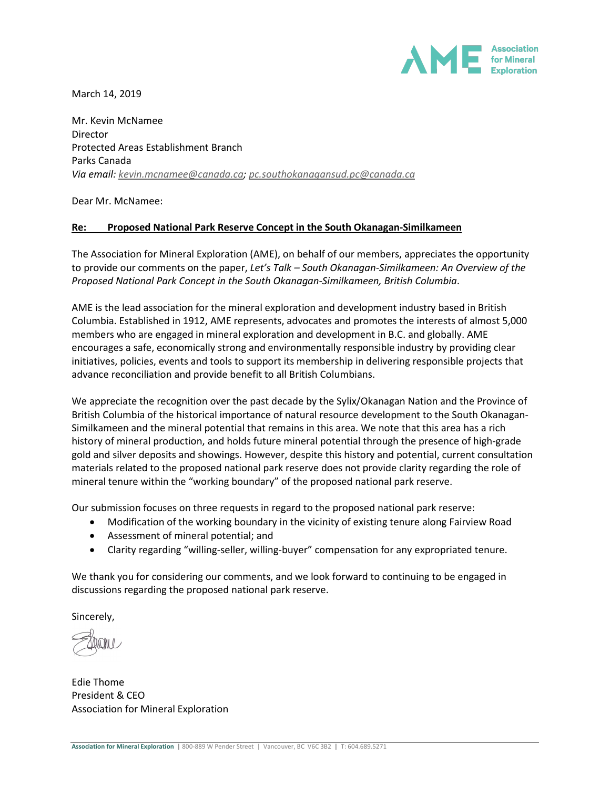

March 14, 2019

Mr. Kevin McNamee Director Protected Areas Establishment Branch Parks Canada *Via email: [kevin.mcnamee@canada.ca;](mailto:kevin.mcnamee@canada.ca) [pc.southokanagansud.pc@canada.ca](mailto:pc.southokanagansud.pc@canada.ca)*

Dear Mr. McNamee:

## **Re: Proposed National Park Reserve Concept in the South Okanagan-Similkameen**

The Association for Mineral Exploration (AME), on behalf of our members, appreciates the opportunity to provide our comments on the paper, *Let's Talk – South Okanagan-Similkameen: An Overview of the Proposed National Park Concept in the South Okanagan-Similkameen, British Columbia*.

AME is the lead association for the mineral exploration and development industry based in British Columbia. Established in 1912, AME represents, advocates and promotes the interests of almost 5,000 members who are engaged in mineral exploration and development in B.C. and globally. AME encourages a safe, economically strong and environmentally responsible industry by providing clear initiatives, policies, events and tools to support its membership in delivering responsible projects that advance reconciliation and provide benefit to all British Columbians.

We appreciate the recognition over the past decade by the Sylix/Okanagan Nation and the Province of British Columbia of the historical importance of natural resource development to the South Okanagan-Similkameen and the mineral potential that remains in this area. We note that this area has a rich history of mineral production, and holds future mineral potential through the presence of high-grade gold and silver deposits and showings. However, despite this history and potential, current consultation materials related to the proposed national park reserve does not provide clarity regarding the role of mineral tenure within the "working boundary" of the proposed national park reserve.

Our submission focuses on three requests in regard to the proposed national park reserve:

- Modification of the working boundary in the vicinity of existing tenure along Fairview Road
- Assessment of mineral potential; and
- Clarity regarding "willing-seller, willing-buyer" compensation for any expropriated tenure.

We thank you for considering our comments, and we look forward to continuing to be engaged in discussions regarding the proposed national park reserve.

Sincerely,

Edie Thome President & CEO Association for Mineral Exploration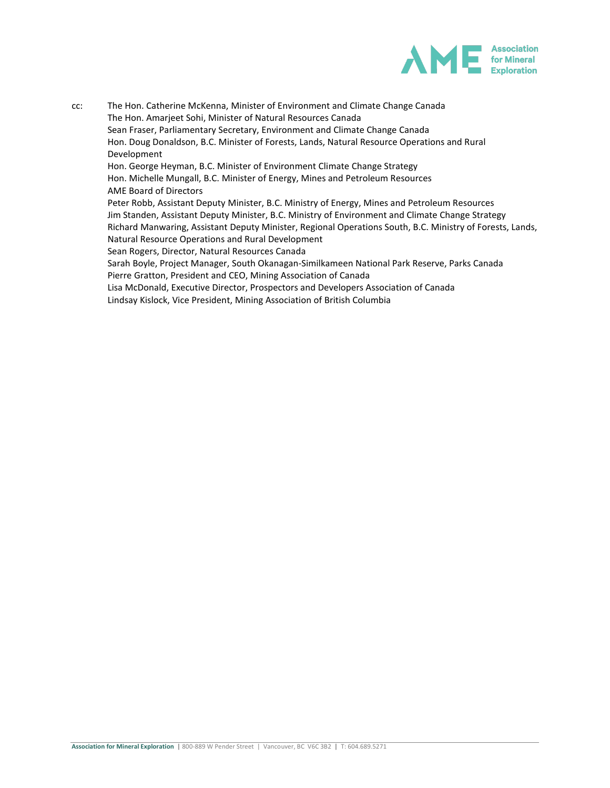

cc: The Hon. Catherine McKenna, Minister of Environment and Climate Change Canada The Hon. Amarjeet Sohi, Minister of Natural Resources Canada Sean Fraser, Parliamentary Secretary, Environment and Climate Change Canada Hon. Doug Donaldson, B.C. Minister of Forests, Lands, Natural Resource Operations and Rural Development Hon. George Heyman, B.C. Minister of Environment Climate Change Strategy Hon. Michelle Mungall, B.C. Minister of Energy, Mines and Petroleum Resources AME Board of Directors Peter Robb, Assistant Deputy Minister, B.C. Ministry of Energy, Mines and Petroleum Resources Jim Standen, Assistant Deputy Minister, B.C. Ministry of Environment and Climate Change Strategy Richard Manwaring, Assistant Deputy Minister, Regional Operations South, B.C. Ministry of Forests, Lands, Natural Resource Operations and Rural Development Sean Rogers, Director, Natural Resources Canada Sarah Boyle, Project Manager, South Okanagan-Similkameen National Park Reserve, Parks Canada Pierre Gratton, President and CEO, Mining Association of Canada Lisa McDonald, Executive Director, Prospectors and Developers Association of Canada Lindsay Kislock, Vice President, Mining Association of British Columbia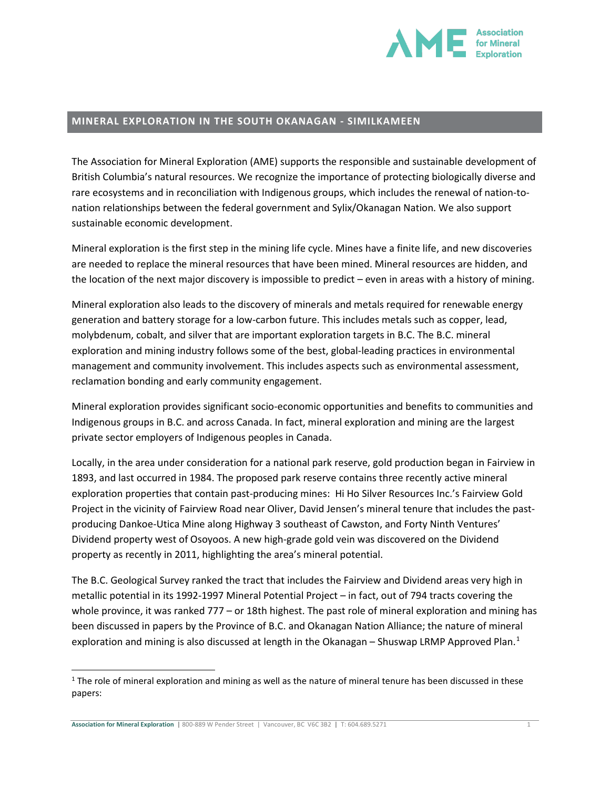

## **MINERAL EXPLORATION IN THE SOUTH OKANAGAN - SIMILKAMEEN**

The Association for Mineral Exploration (AME) supports the responsible and sustainable development of British Columbia's natural resources. We recognize the importance of protecting biologically diverse and rare ecosystems and in reconciliation with Indigenous groups, which includes the renewal of nation-tonation relationships between the federal government and Sylix/Okanagan Nation. We also support sustainable economic development.

Mineral exploration is the first step in the mining life cycle. Mines have a finite life, and new discoveries are needed to replace the mineral resources that have been mined. Mineral resources are hidden, and the location of the next major discovery is impossible to predict – even in areas with a history of mining.

Mineral exploration also leads to the discovery of minerals and metals required for renewable energy generation and battery storage for a low-carbon future. This includes metals such as copper, lead, molybdenum, cobalt, and silver that are important exploration targets in B.C. The B.C. mineral exploration and mining industry follows some of the best, global-leading practices in environmental management and community involvement. This includes aspects such as environmental assessment, reclamation bonding and early community engagement.

Mineral exploration provides significant socio-economic opportunities and benefits to communities and Indigenous groups in B.C. and across Canada. In fact, mineral exploration and mining are the largest private sector employers of Indigenous peoples in Canada.

Locally, in the area under consideration for a national park reserve, gold production began in Fairview in 1893, and last occurred in 1984. The proposed park reserve contains three recently active mineral exploration properties that contain past-producing mines: Hi Ho Silver Resources Inc.'s Fairview Gold Project in the vicinity of Fairview Road near Oliver, David Jensen's mineral tenure that includes the pastproducing Dankoe-Utica Mine along Highway 3 southeast of Cawston, and Forty Ninth Ventures' Dividend property west of Osoyoos. A new high-grade gold vein was discovered on the Dividend property as recently in 2011, highlighting the area's mineral potential.

The B.C. Geological Survey ranked the tract that includes the Fairview and Dividend areas very high in metallic potential in its 1992-1997 Mineral Potential Project – in fact, out of 794 tracts covering the whole province, it was ranked 777 – or 18th highest. The past role of mineral exploration and mining has been discussed in papers by the Province of B.C. and Okanagan Nation Alliance; the nature of mineral exploration and mining is also discussed at length in the Okanagan - Shuswap LRMP Approved Plan.<sup>[1](#page-2-0)</sup>

**Association for Mineral Exploration | 800-889 W Pender Street | Vancouver, BC V6C 3B2 | T: 604.689.5271** 1

<span id="page-2-0"></span> $1$  The role of mineral exploration and mining as well as the nature of mineral tenure has been discussed in these papers: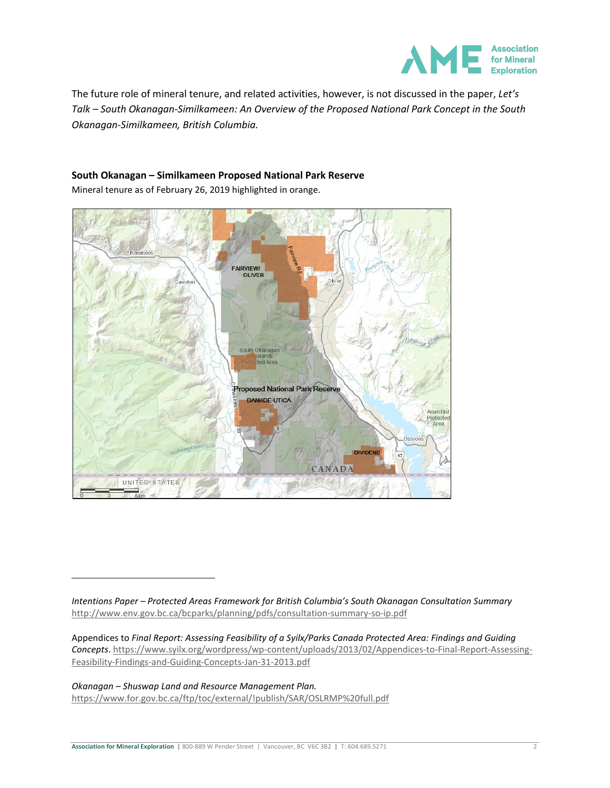

The future role of mineral tenure, and related activities, however, is not discussed in the paper, *Let's Talk – South Okanagan-Similkameen: An Overview of the Proposed National Park Concept in the South Okanagan-Similkameen, British Columbia.*

# **South Okanagan – Similkameen Proposed National Park Reserve**

Mineral tenure as of February 26, 2019 highlighted in orange.



*Intentions Paper – Protected Areas Framework for British Columbia's South Okanagan Consultation Summary* <http://www.env.gov.bc.ca/bcparks/planning/pdfs/consultation-summary-so-ip.pdf>

Appendices to *Final Report: Assessing Feasibility of a Syilx/Parks Canada Protected Area: Findings and Guiding Concepts*[. https://www.syilx.org/wordpress/wp-content/uploads/2013/02/Appendices-to-Final-Report-Assessing-](https://www.syilx.org/wordpress/wp-content/uploads/2013/02/Appendices-to-Final-Report-Assessing-Feasibility-Findings-and-Guiding-Concepts-Jan-31-2013.pdf)[Feasibility-Findings-and-Guiding-Concepts-Jan-31-2013.pdf](https://www.syilx.org/wordpress/wp-content/uploads/2013/02/Appendices-to-Final-Report-Assessing-Feasibility-Findings-and-Guiding-Concepts-Jan-31-2013.pdf)

#### *Okanagan – Shuswap Land and Resource Management Plan.*

 $\overline{a}$ 

<https://www.for.gov.bc.ca/ftp/toc/external/!publish/SAR/OSLRMP%20full.pdf>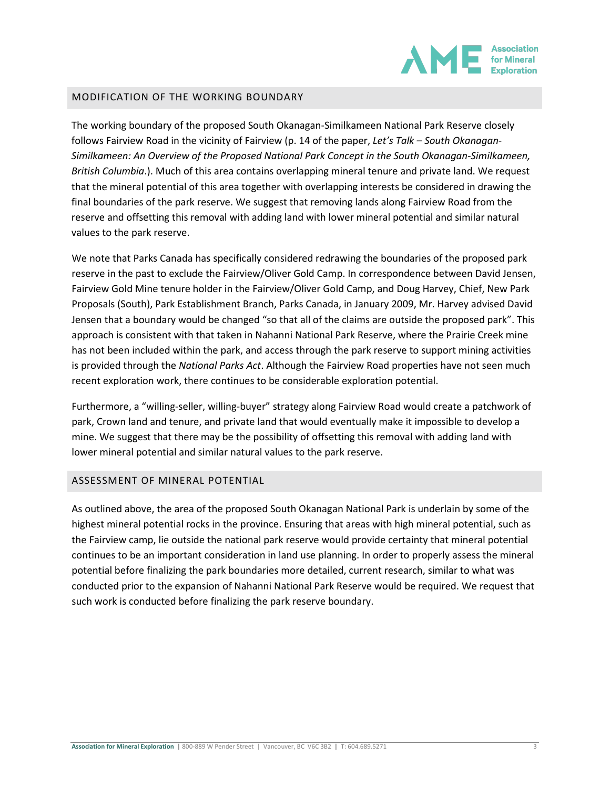

## MODIFICATION OF THE WORKING BOUNDARY

The working boundary of the proposed South Okanagan-Similkameen National Park Reserve closely follows Fairview Road in the vicinity of Fairview (p. 14 of the paper, *Let's Talk – South Okanagan-Similkameen: An Overview of the Proposed National Park Concept in the South Okanagan-Similkameen, British Columbia*.). Much of this area contains overlapping mineral tenure and private land. We request that the mineral potential of this area together with overlapping interests be considered in drawing the final boundaries of the park reserve. We suggest that removing lands along Fairview Road from the reserve and offsetting this removal with adding land with lower mineral potential and similar natural values to the park reserve.

We note that Parks Canada has specifically considered redrawing the boundaries of the proposed park reserve in the past to exclude the Fairview/Oliver Gold Camp. In correspondence between David Jensen, Fairview Gold Mine tenure holder in the Fairview/Oliver Gold Camp, and Doug Harvey, Chief, New Park Proposals (South), Park Establishment Branch, Parks Canada, in January 2009, Mr. Harvey advised David Jensen that a boundary would be changed "so that all of the claims are outside the proposed park". This approach is consistent with that taken in Nahanni National Park Reserve, where the Prairie Creek mine has not been included within the park, and access through the park reserve to support mining activities is provided through the *National Parks Act*. Although the Fairview Road properties have not seen much recent exploration work, there continues to be considerable exploration potential.

Furthermore, a "willing-seller, willing-buyer" strategy along Fairview Road would create a patchwork of park, Crown land and tenure, and private land that would eventually make it impossible to develop a mine. We suggest that there may be the possibility of offsetting this removal with adding land with lower mineral potential and similar natural values to the park reserve.

#### ASSESSMENT OF MINERAL POTENTIAL

As outlined above, the area of the proposed South Okanagan National Park is underlain by some of the highest mineral potential rocks in the province. Ensuring that areas with high mineral potential, such as the Fairview camp, lie outside the national park reserve would provide certainty that mineral potential continues to be an important consideration in land use planning. In order to properly assess the mineral potential before finalizing the park boundaries more detailed, current research, similar to what was conducted prior to the expansion of Nahanni National Park Reserve would be required. We request that such work is conducted before finalizing the park reserve boundary.